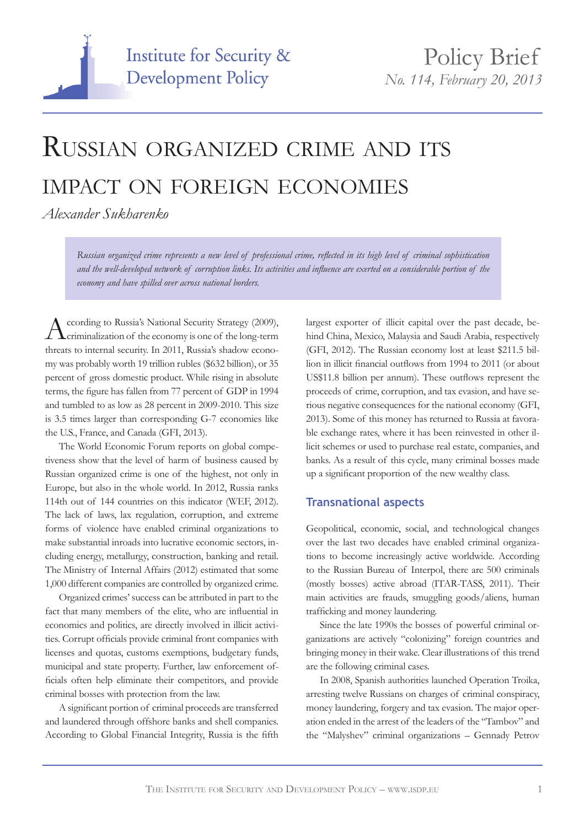

# Russian organized crime and its impact on foreign economies

*Alexander Sukharenko* 

*Russian organized crime represents a new level of professional crime, reflected in its high level of criminal sophistication and the well-developed network of corruption links. Its activities and influence are exerted on a considerable portion of the economy and have spilled over across national borders.* 

According to Russia's National Security Strategy (2009), Criminalization of the economy is one of the long-term threats to internal security. In 2011, Russia's shadow economy was probably worth 19 trillion rubles (\$632 billion), or 35 percent of gross domestic product. While rising in absolute terms, the figure has fallen from 77 percent of GDP in 1994 and tumbled to as low as 28 percent in 2009-2010. This size is 3.5 times larger than corresponding G-7 economies like the U.S., France, and Canada (GFI, 2013).

The World Economic Forum reports on global competiveness show that the level of harm of business caused by Russian organized crime is one of the highest, not only in Europe, but also in the whole world. In 2012, Russia ranks 114th out of 144 countries on this indicator (WEF, 2012). The lack of laws, lax regulation, corruption, and extreme forms of violence have enabled criminal organizations to make substantial inroads into lucrative economic sectors, including energy, metallurgy, construction, banking and retail. The Ministry of Internal Affairs (2012) estimated that some 1,000 different companies are controlled by organized crime.

Organized crimes' success can be attributed in part to the fact that many members of the elite, who are influential in economics and politics, are directly involved in illicit activities. Corrupt officials provide criminal front companies with licenses and quotas, customs exemptions, budgetary funds, municipal and state property. Further, law enforcement officials often help eliminate their competitors, and provide criminal bosses with protection from the law.

A significant portion of criminal proceeds are transferred and laundered through offshore banks and shell companies. According to Global Financial Integrity, Russia is the fifth largest exporter of illicit capital over the past decade, behind China, Mexico, Malaysia and Saudi Arabia, respectively (GFI, 2012). The Russian economy lost at least \$211.5 billion in illicit financial outflows from 1994 to 2011 (or about US\$11.8 billion per annum). These outflows represent the proceeds of crime, corruption, and tax evasion, and have serious negative consequences for the national economy (GFI, 2013). Some of this money has returned to Russia at favorable exchange rates, where it has been reinvested in other illicit schemes or used to purchase real estate, companies, and banks. As a result of this cycle, many criminal bosses made up a significant proportion of the new wealthy class.

## **Transnational aspects**

Geopolitical, economic, social, and technological changes over the last two decades have enabled criminal organizations to become increasingly active worldwide. According to the Russian Bureau of Interpol, there are 500 criminals (mostly bosses) active abroad (ITAR-TASS, 2011). Their main activities are frauds, smuggling goods/aliens, human trafficking and money laundering.

Since the late 1990s the bosses of powerful criminal organizations are actively "colonizing" foreign countries and bringing money in their wake. Clear illustrations of this trend are the following criminal cases.

In 2008, Spanish authorities launched Operation Troika, arresting twelve Russians on charges of criminal conspiracy, money laundering, forgery and tax evasion. The major operation ended in the arrest of the leaders of the "Tambov" and the "Malyshev" criminal organizations – Gennady Petrov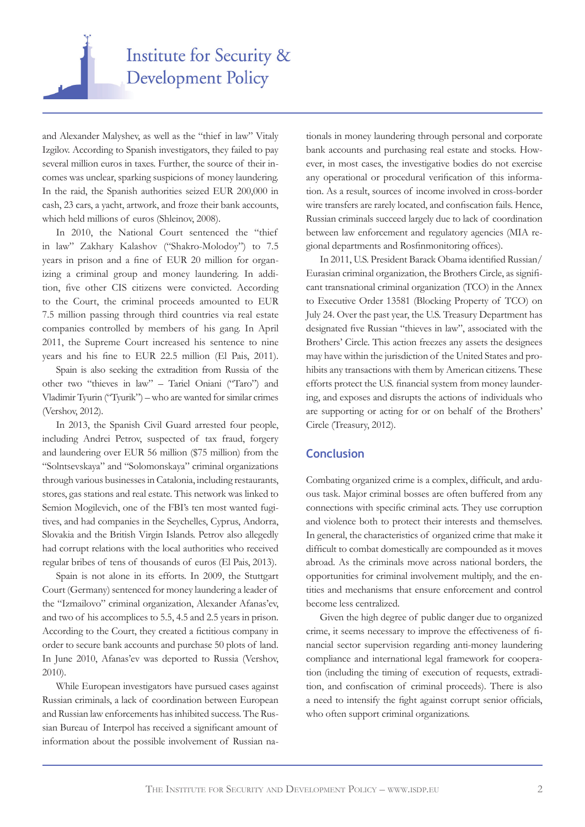

and Alexander Malyshev, as well as the "thief in law" Vitaly Izgilov. According to Spanish investigators, they failed to pay several million euros in taxes. Further, the source of their incomes was unclear, sparking suspicions of money laundering. In the raid, the Spanish authorities seized EUR 200,000 in cash, 23 cars, a yacht, artwork, and froze their bank accounts, which held millions of euros (Shleinov, 2008).

In 2010, the National Court sentenced the "thief in law" Zakhary Kalashov ("Shakro-Molodoy") to 7.5 years in prison and a fine of EUR 20 million for organizing a criminal group and money laundering. In addition, five other CIS citizens were convicted. According to the Court, the criminal proceeds amounted to EUR 7.5 million passing through third countries via real estate companies controlled by members of his gang. In April 2011, the Supreme Court increased his sentence to nine years and his fine to EUR 22.5 million (El Pais, 2011).

Spain is also seeking the extradition from Russia of the other two "thieves in law" – Tariel Oniani ("Taro") and Vladimir Tyurin ("Tyurik") – who are wanted for similar crimes (Vershov, 2012).

In 2013, the Spanish Civil Guard arrested four people, including Andrei Petrov, suspected of tax fraud, forgery and laundering over EUR 56 million (\$75 million) from the "Solntsevskaya" and "Solomonskaya" criminal organizations through various businesses in Catalonia, including restaurants, stores, gas stations and real estate. This network was linked to Semion Mogilevich, one of the FBI's ten most wanted fugitives, and had companies in the Seychelles, Cyprus, Andorra, Slovakia and the British Virgin Islands. Petrov also allegedly had corrupt relations with the local authorities who received regular bribes of tens of thousands of euros (El Pais, 2013).

Spain is not alone in its efforts. In 2009, the Stuttgart Court (Germany) sentenced for money laundering a leader of the "Izmailovo" criminal organization, Alexander Afanas'ev, and two of his accomplices to 5.5, 4.5 and 2.5 years in prison. According to the Court, they created a fictitious company in order to secure bank accounts and purchase 50 plots of land. In June 2010, Afanas'ev was deported to Russia (Vershov, 2010).

While European investigators have pursued cases against Russian criminals, a lack of coordination between European and Russian law enforcements has inhibited success. The Russian Bureau of Interpol has received a significant amount of information about the possible involvement of Russian nationals in money laundering through personal and corporate bank accounts and purchasing real estate and stocks. However, in most cases, the investigative bodies do not exercise any operational or procedural verification of this information. As a result, sources of income involved in cross-border wire transfers are rarely located, and confiscation fails. Hence, Russian criminals succeed largely due to lack of coordination between law enforcement and regulatory agencies (MIA regional departments and Rosfinmonitoring offices).

In 2011, U.S. President Barack Obama identified Russian/ Eurasian criminal organization, the Brothers Circle, as significant transnational criminal organization (TCO) in the Annex to Executive Order 13581 (Blocking Property of TCO) on July 24. Over the past year, the U.S. Treasury Department has designated five Russian "thieves in law", associated with the Brothers' Circle. This action freezes any assets the designees may have within the jurisdiction of the United States and prohibits any transactions with them by American citizens. These efforts protect the U.S. financial system from money laundering, and exposes and disrupts the actions of individuals who are supporting or acting for or on behalf of the Brothers' Circle (Treasury, 2012).

### **Conclusion**

Combating organized crime is a complex, difficult, and arduous task. Major criminal bosses are often buffered from any connections with specific criminal acts. They use corruption and violence both to protect their interests and themselves. In general, the characteristics of organized crime that make it difficult to combat domestically are compounded as it moves abroad. As the criminals move across national borders, the opportunities for criminal involvement multiply, and the entities and mechanisms that ensure enforcement and control become less centralized.

Given the high degree of public danger due to organized crime, it seems necessary to improve the effectiveness of financial sector supervision regarding anti-money laundering compliance and international legal framework for cooperation (including the timing of execution of requests, extradition, and confiscation of criminal proceeds). There is also a need to intensify the fight against corrupt senior officials, who often support criminal organizations.